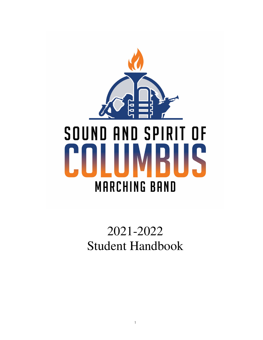

# 2021-2022 Student Handbook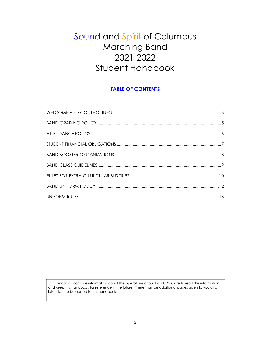# Sound and Spirit of Columbus Marching Band 2021-2022 Student Handbook

# TABLE OF CONTENTS

This handbook contains information about the operations of our band. You are to read this information and keep this handbook for reference in the future. There may be additional pages given to you at a later date to be added to this handbook.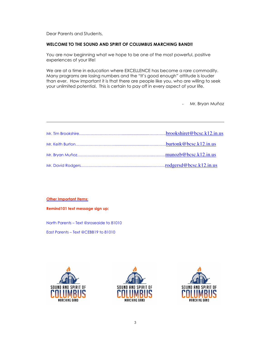Dear Parents and Students,

#### WELCOME TO THE SOUND AND SPIRIT OF COLUMBUS MARCHING BAND!!

You are now beginning what we hope to be one of the most powerful, positive experiences of your life!

We are at a time in education where EXCELLENCE has become a rare commodity. Many programs are losing numbers and the "It's good enough" attitude is louder than ever. How important it is that there are people like you, who are willing to seek your unlimited potential. This is certain to pay off in every aspect of your life.

Mr. Bryan Muñoz

#### Other Important Items:

Remind101 text message sign up:

North Parents – Text @sroseaide to 81010

East Parents – Text @CEBB19 to 81010





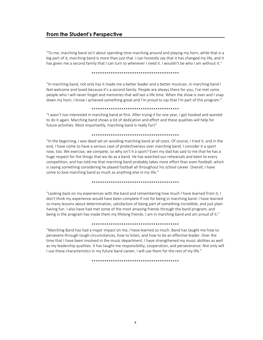# From the Student's Perspective

"To me, marching band isn't about spending time marching around and playing my horn; while that is a big part of it, marching band is more than just that. I can honestly say that it has changed my life, and it has given me a second family that I can turn to whenever I need it. I wouldn't be who I am without it."

#### \*\*\*\*\*\*\*\*\*\*\*\*\*\*\*\*\*\*\*\*\*\*\*\*\*\*\*\*\*\*\*\*\*\*\*\*\*\*\*\*\*

"In marching band, not only has it made me a better leader and a better musician, in marching band I feel welcome and loved because it's a second family. People are always there for you, I've met some people who I will never forget and memories that will last a life time. When the show is over and I snap down my horn, I know I achieved something great and I'm proud to say that I'm part of this program."

#### \*\*\*\*\*\*\*\*\*\*\*\*\*\*\*\*\*\*\*\*\*\*\*\*\*\*\*\*\*\*\*\*\*\*\*\*\*\*\*\*\*

"I wasn't too interested in marching band at first. After trying it for one year, I got hooked and wanted to do it again. Marching band shows a lot of dedication and effort and these qualities will help for future activities. Most importantly, marching band is really fun!"

#### \*\*\*\*\*\*\*\*\*\*\*\*\*\*\*\*\*\*\*\*\*\*\*\*\*\*\*\*\*\*\*\*\*\*\*\*\*\*\*\*\*

"In the beginning, I was dead set on avoiding marching band at all costs. Of course, I tried it, and in the end, I have come to have a serious case of protectiveness over marching band. I consider it a sport now, too. We exercise, we compete, so why isn't it a sport? Even my dad has said to me that he has a huge respect for the things that we do as a band. He has watched our rehearsals and been to every competition, and has told me that marching band probably takes more effort than even football, which is saying something considering he played football all throughout his school career. Overall, I have come to love marching band as much as anything else in my life."

#### \*\*\*\*\*\*\*\*\*\*\*\*\*\*\*\*\*\*\*\*\*\*\*\*\*\*\*\*\*\*\*\*\*\*\*\*\*\*\*\*\*

"Looking back on my experiences with the band and remembering how much I have learned from it, I don't think my experience would have been complete if not for being in marching band. I have learned so many lessons about determination, satisfaction of being part of something incredible, and just plain having fun. I also have had met some of the most amazing friends through the band program, and being in the program has made them my lifelong friends. I am in marching band and am proud of it."

#### \*\*\*\*\*\*\*\*\*\*\*\*\*\*\*\*\*\*\*\*\*\*\*\*\*\*\*\*\*\*\*\*\*\*\*\*\*\*\*\*\*

"Marching Band has had a major impact on me, I have learned so much. Band has taught me how to persevere through tough circumstances, how to listen, and how to be an effective leader. Over the time that I have been involved in the music department, I have strengthened my music abilities as well as my leadership qualities. It has taught me responsibility, cooperation, and perseverance. Not only will I use these characteristics in my future band career, I will use them for the rest of my life."

\*\*\*\*\*\*\*\*\*\*\*\*\*\*\*\*\*\*\*\*\*\*\*\*\*\*\*\*\*\*\*\*\*\*\*\*\*\*\*\*\*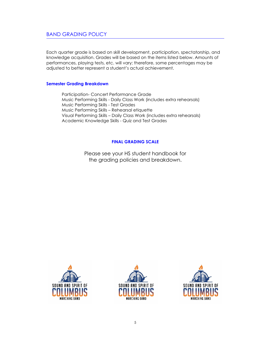Each quarter grade is based on skill development, participation, spectatorship, and knowledge acquisition. Grades will be based on the items listed below. Amounts of performances, playing tests, etc. will vary; therefore, some percentages may be adjusted to better represent a student's actual achievement.

#### Semester Grading Breakdown

 Participation- Concert Performance Grade Music Performing Skills - Daily Class Work (includes extra rehearsals) Music Performing Skills - Test Grades Music Performing Skills – Rehearsal etiquette Visual Performing Skills – Daily Class Work (includes extra rehearsals) Academic Knowledge Skills - Quiz and Test Grades

# FINAL GRADING SCALE

Please see your HS student handbook for the grading policies and breakdown.





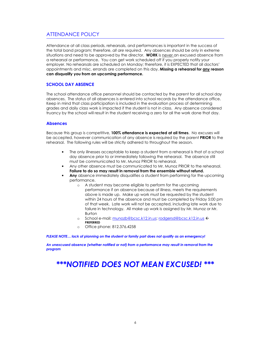# ATTENDANCE POLICY

Attendance at all class periods, rehearsals, and performances is important in the success of the total band program; therefore, all are required. Any absences should be only in extreme situations and need to be approved by the director. WORK is never an excused absence from a rehearsal or performance. You can get work scheduled off if you properly notify your employer. No rehearsals are scheduled on Monday; therefore, it is EXPECTED that all doctors' appointments and misc. errands are completed on this day. Missing a rehearsal for any reason can disqualify you from an upcoming performance.

#### SCHOOL DAY ABSENCE

The school attendance office personnel should be contacted by the parent for all school day absences. The status of all absences is entered into school records by the attendance office. Keep in mind that class participation is included in the evaluation process of determining grades and daily class work is impacted if the student is not in class. Any absence considered truancy by the school will result in the student receiving a zero for all the work done that day.

#### **Absences**

Because this group is competitive, 100% attendance is expected at all times. No excuses will be accepted, however communication of any absence is required by the parent **PRIOR** to the rehearsal. The following rules will be strictly adhered to throughout the season.

- The only illnesses acceptable to keep a student from a rehearsal is that of a school day absence prior to or immediately following the rehearsal. The absence still must be communicated to Mr. Munoz PRIOR to rehearsal.
- Any other absence must be communicated to Mr. Munoz PRIOR to the rehearsal. Failure to do so may result in removal from the ensemble without refund.
- Any absence immediately disqualifies a student from performing for the upcoming performance.
	- o A student may become eligible to perform for the upcoming performance if an absence because of illness, meets the requirements above is made up. Make up work must be requested by the student within 24 hours of the absence and must be completed by Friday 5:00 pm of that week. Late work will not be accepted, including late work due to failure in technology. All make up work is assigned by Mr. Munoz or Mr. Burton
	- o School e-mail: munozb@bcsc.k12.in.us; rodgersd@bcsc.k12.in.us < PREFERRED
	- o Office phone: 812.376.4258

PLEASE NOTE… lack of planning on the student or family part does not qualify as an emergency!

An unexcused absence (whether notified or not) from a performance may result in removal from the program

# \*\*\*NOTIFIED DOES NOT MEAN EXCUSED! \*\*\*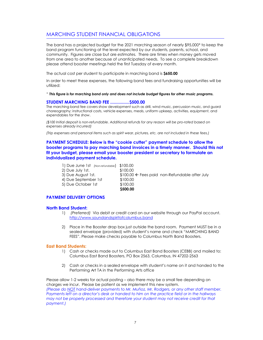# MARCHING STUDENT FINANCIAL OBLIGATIONS

The band has a projected budget for the 2021 marching season of nearly \$95,000\* to keep the band program functioning at the level expected by our students, parents, school, and community. Figures are close but are estimates. There are times when money gets moved from one area to another because of unanticipated needs. To see a complete breakdown please attend booster meetings held the first Tuesday of every month.

The actual cost per student to participate in marching band is \$650.00

In order to meet these expenses, the following band fees and fundraising opportunities will be utilized:

<sup>+</sup> This figure is for marching band only and does not include budget figures for other music programs.

#### STUDENT MARCHING BAND FEE ................ \$500.00

The marching band fee covers show development such as drill, wind music, percussion music, and guard choreography; instructional costs, vehicle expenses, meals, uniform upkeep, activities, equipment, and expendables for the show.

(\$100 Initial deposit is non-refundable. Additional refunds for any reason will be pro-rated based on expenses already incurred)

(Trip expenses and personal items such as spirit wear, pictures, etc. are not included in these fees.)

# PAYMENT SCHEDULE: Below is the "cookie cutter" payment schedule to allow the booster programs to pay marching band invoices in a timely manner. Should this not fit your budget, please email your booster president or secretary to formulate an individualized payment schedule.

| 1) Due June 1st (Non-refundable) \$100.00 |                                                    |
|-------------------------------------------|----------------------------------------------------|
| 2) Due July 1st.                          | \$100.00                                           |
| 3) Due August 1st.                        | $$100.00 \div$ Fees paid non-Refundable after July |
| 4) Due September 1st                      | \$100.00                                           |
| 5) Due October 1st                        | \$100.00                                           |
|                                           | \$500.00                                           |

#### PAYMENT DELIVERY OPTIONS

#### North Band Student:

- 1) (Preferred) Via debit or credit card on our website through our PayPal account. http://www.soundandspiritofcolumbus.band
- 2) Place in the Booster drop box just outside the band room. Payment MUST be in a sealed envelope (provided) with student's name and check "MARCHING BAND FEES". Please make checks payable to Columbus North Band Boosters.

#### East Band Students:

- 1) Cash or checks made out to Columbus East Band Boosters (CEBB) and mailed to: Columbus East Band Boosters, PO Box 2563, Columbus, IN 47202-2563
- 2) Cash or checks in a sealed envelope with student's name on it and handed to the Performing Art TA in the Performing Arts office

Please allow 1-2 weeks for actual posting – also there may be a small fee depending on charges we incur. Please be patient as we implement this new system. (Please do NOT hand-deliver payments to Mr. Muñoz, Mr. Rodgers, or any other staff member. Payments left on a director's desk or handed to him on the practice field or in the hallways may not be properly processed and therefore your student may not receive credit for that payment.)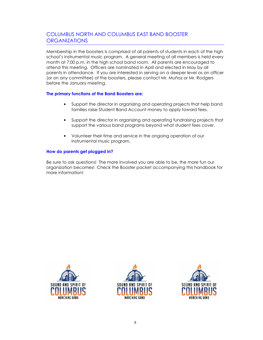# COLUMBUS NORTH AND COLUMBUS EAST BAND BOOSTER **ORGANIZATIONS**

Membership in the boosters is comprised of all parents of students in each of the high school's instrumental music program. A general meeting of all members is held every month at 7:00 p.m. in the high school band room. All parents are encouraged to attend this meeting. Officers are nominated in April and elected in May by all parents in attendance. If you are interested in serving on a deeper level as an officer (or on any committee) of the boosters, please contact Mr. Muñoz or Mr. Rodgers before the January meeting.

#### The primary functions of the Band Boosters are:

- Support the director in organizing and operating projects that help band families raise Student Band Account money to apply toward fees.
- Support the director in organizing and operating fundraising projects that support the various band programs beyond what student fees cover.
- Volunteer their time and service in the ongoing operation of our instrumental music program.

#### How do parents get plugged in?

Be sure to ask questions! The more involved you are able to be, the more fun our organization becomes! Check the Booster packet accompanying this handbook for more information!





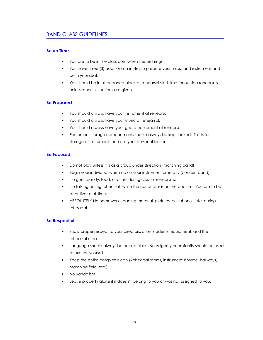# BAND CLASS GUIDELINES

#### Be on Time

- You are to be in the classroom when the bell rings.
- You have three (3) additional minutes to prepare your music and instrument and be in your seat.
- You should be in attendance block at rehearsal start time for outside rehearsals unless other instructions are given.

#### Be Prepared

- You should always have your instrument at rehearsal.
- You should always have your music at rehearsal.
- You should always have your guard equipment at rehearsal.
- Equipment storage compartments should always be kept locked. This is for storage of instruments and not your personal locker.

#### Be Focused

- Do not play unless it is as a group under direction (marching band)
- Begin your individual warm-up on your instrument promptly (concert band).
- No gum, candy, food, or drinks during class or rehearsals.
- No talking during rehearsals while the conductor is on the podium. You are to be attentive at all times.
- ABSOLUTELY No homework, reading material, pictures, cell phones, etc. during rehearsals.

#### Be Respectful

- Show proper respect to your directors, other students, equipment, and the rehearsal area.
- Language should always be acceptable. No vulgarity or profanity should be used to express yourself.
- Keep the entire complex clean (Rehearsal rooms, instrument storage, hallways, marching field, etc.)
- No vandalism.
- Leave property alone if it doesn't belong to you or was not assigned to you.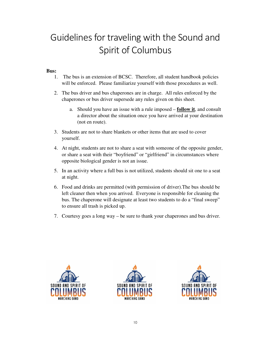# Guidelines for traveling with the Sound and Spirit of Columbus

# **Bus:**

- 1. The bus is an extension of BCSC. Therefore, all student handbook policies will be enforced. Please familiarize yourself with those procedures as well.
- 2. The bus driver and bus chaperones are in charge. All rules enforced by the chaperones or bus driver supersede any rules given on this sheet.
	- a. Should you have an issue with a rule imposed **follow it**, and consult a director about the situation once you have arrived at your destination (not en route).
- 3. Students are not to share blankets or other items that are used to cover yourself.
- 4. At night, students are not to share a seat with someone of the opposite gender, or share a seat with their "boyfriend" or "girlfriend" in circumstances where opposite biological gender is not an issue.
- 5. In an activity where a full bus is not utilized, students should sit one to a seat at night.
- 6. Food and drinks are permitted (with permission of driver).The bus should be left cleaner then when you arrived. Everyone is responsible for cleaning the bus. The chaperone will designate at least two students to do a "final sweep" to ensure all trash is picked up.
- 7. Courtesy goes a long way be sure to thank your chaperones and bus driver.





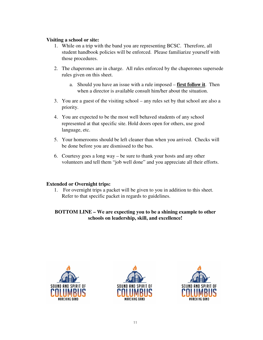# **Visiting a school or site:**

- 1. While on a trip with the band you are representing BCSC. Therefore, all student handbook policies will be enforced. Please familiarize yourself with those procedures.
- 2. The chaperones are in charge. All rules enforced by the chaperones supersede rules given on this sheet.
	- a. Should you have an issue with a rule imposed **first follow it**. Then when a director is available consult him/her about the situation.
- 3. You are a guest of the visiting school any rules set by that school are also a priority.
- 4. You are expected to be the most well behaved students of any school represented at that specific site. Hold doors open for others, use good language, etc.
- 5. Your homerooms should be left cleaner than when you arrived. Checks will be done before you are dismissed to the bus.
- 6. Courtesy goes a long way be sure to thank your hosts and any other volunteers and tell them "job well done" and you appreciate all their efforts.

# **Extended or Overnight trips:**

1. For overnight trips a packet will be given to you in addition to this sheet. Refer to that specific packet in regards to guidelines.

# **BOTTOM LINE – We are expecting you to be a shining example to other schools on leadership, skill, and excellence!**





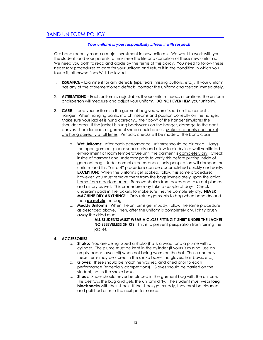# BAND UNIFORM POLICY

#### Your uniform is your responsibility…Treat it with respect!

Our band recently made a major investment in new uniforms. We want to work with you, the student, and your parents to maximize the life and condition of these new uniforms. We need you both to read and abide by the terms of this policy. You need to follow these necessary procedures to care for your uniform and return it in the condition in which you found it, otherwise fines WILL be levied.

- 1. **ISSUANCE** Examine it for any defects (rips, tears, missing buttons, etc.). If your uniform has any of the aforementioned defects, contact the uniform chairperson immediately.
- 2. **ALTERATIONS** Each uniform is adjustable. If your uniform needs alterations, the uniform chairperson will measure and adjust your uniform. DO NOT EVER HEM your uniform.
- 3. CARE Keep your uniform in the garment bag you were issued on the correct # hanger. When hanging pants, match inseams and position correctly on the hanger. Make sure your jacket is hung correctly…the "bow" of the hanger simulates the shoulder area. If the jacket is hung backwards on the hanger, damage to the coat canvas, shoulder pads or garment shape could occur. Make sure pants and jacket are hung correctly at all times. Periodic checks will be made at the band closet.
	- a. Wet Uniforms: After each performance, uniforms should be air-dried. Hang the open garment pieces separately and allow to air dry in a well-ventilated environment at room temperature until the garment is completely dry. Check inside of garment and underarm pads to verify this before putting inside of garment bag. Under normal circumstances, only perspiration will dampen the uniform and this "air-out" procedure can be accomplished quickly and easily. **EXCEPTION:** When the uniforms get soaked, follow this same procedure; however, you must remove them from the bags immediately upon the arrival home from a performance. Remove shakos from boxes and take out plumes and air dry as well. This procedure may take a couple of days. Check underarm pads in the jackets to make sure they're completely dry. NEVER **MACHINE DRY ANYTHING!!!** Only return garments to bag when bone dry and then do not zip the bag.
	- b. Muddy Uniforms: When the uniforms get muddy, follow the same procedure as described above. Then, after the uniform is completely dry, lightly brush away the dried mud.
		- i. ALL STUDENTS MUST WEAR A CLOSE FITTING T-SHIRT UNDER THE JACKET. NO SLEEVELESS SHIRTS. This is to prevent perspiration from ruining the jacket.

#### 4. ACCESSORIES

- a. Shako: You are being issued a shako (hat), a wrap, and a plume with a cylinder. The plume must be kept in the cylinder (if yours is missing, use an empty paper towel roll) when not being worm on the hat. These and only these items may be stored in the shako boxes (no gloves, hair bows, etc.)
- b. Gloves: These should be machine washed and dried prior to each performance (especially competitions). Gloves should be carried on the student, not in the shako boxes.
- c. Shoes: Shoes should never be placed in the garment bag with the uniform. This destroys the bag and gets the uniform dirty. The student must wear long black socks with their shoes. If the shoes get muddy, they must be cleaned and polished prior to the next performance.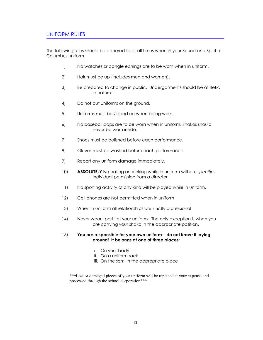# UNIFORM RULES

The following rules should be adhered to at all times when in your Sound and Spirit of Columbus uniform.

- 1) No watches or dangle earrings are to be worn when in uniform.
- 2) Hair must be up (includes men and women).
- 3) Be prepared to change in public. Undergarments should be athletic in nature.
- 4) Do not put uniforms on the ground.
- 5) Uniforms must be zipped up when being worn.
- 6) No baseball caps are to be worn when in uniform. Shakos should never be worn inside.
- 7) Shoes must be polished before each performance.
- 8) Gloves must be washed before each performance.
- 9) Report any uniform damage immediately.
- 10) **ABSOLUTELY** No eating or drinking while in uniform without specific, individual permission from a director.
- 11) No sporting activity of any kind will be played while in uniform.
- 12) Cell phones are not permitted when in uniform
- 13) When in uniform all relationships are strictly professional
- 14) Never wear "part" of your uniform. The only exception is when you are carrying your shako in the appropriate position.

#### 15) You are responsible for your own uniform – do not leave it laying around! It belongs at one of three places:

- i. On your body
- ii. On a uniform rack
- iii. On the semi in the appropriate place

\*\*\*Lost or damaged pieces of your uniform will be replaced at your expense and processed through the school corporation\*\*\*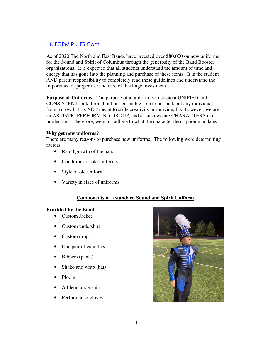# UNIFORM RULES Cont.

As of 2020 The North and East Bands have invested over \$80,000 on new uniforms for the Sound and Spirit of Columbus through the generosity of the Band Booster organizations. It is expected that all students understand the amount of time and energy that has gone into the planning and purchase of these items. It is the student AND parent responsibility to completely read these guidelines and understand the importance of proper use and care of this huge investment.

**Purpose of Uniforms:** The purpose of a uniform is to create a UNIFIED and CONSISTENT look throughout our ensemble – so to not pick out any individual from a crowd. It is NOT meant to stifle creativity or individuality; however, we are an ARTISTIC PERFORMING GROUP, and as such we are CHARACTERS in a production. Therefore, we must adhere to what the character description mandates.

#### **Why get new uniforms?**

There are many reasons to purchase new uniforms. The following were determining factors:

- Rapid growth of the band
- Conditions of old uniforms
- Style of old uniforms
- Variety in sizes of uniforms

# **Components of a standard Sound and Spirit Uniform**

### **Provided by the Band**

- Custom Jacket
- Custom undershirt
- Custom drop
- One pair of gauntlets
- Bibbers (pants)
- Shako and wrap (hat)
- Ploom
- Athletic undershirt
- Performance gloves

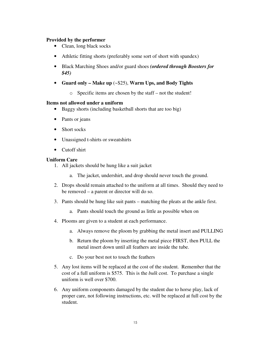### **Provided by the performer**

- Clean, long black socks
- Athletic fitting shorts (preferably some sort of short with spandex)
- Black Marching Shoes and/or guard shoes *(ordered through Boosters for \$45)*
- **Guard only Make up** (~\$25), **Warm Ups, and Body Tights** 
	- o Specific items are chosen by the staff not the student!

#### **Items not allowed under a uniform**

- Baggy shorts (including basketball shorts that are too big)
- Pants or jeans
- Short socks
- Unassigned t-shirts or sweatshirts
- Cutoff shirt

#### **Uniform Care**

- 1. All jackets should be hung like a suit jacket
	- a. The jacket, undershirt, and drop should never touch the ground.
- 2. Drops should remain attached to the uniform at all times. Should they need to be removed – a parent or director will do so.
- 3. Pants should be hung like suit pants matching the pleats at the ankle first.
	- a. Pants should touch the ground as little as possible when on
- 4. Plooms are given to a student at each performance.
	- a. Always remove the ploom by grabbing the metal insert and PULLING
	- b. Return the ploom by inserting the metal piece FIRST, then PULL the metal insert down until all feathers are inside the tube.
	- c. Do your best not to touch the feathers
- 5. Any lost items will be replaced at the cost of the student. Remember that the cost of a full uniform is \$575. This is the *bulk* cost. To purchase a single uniform is well over \$700.
- 6. Any uniform components damaged by the student due to horse play, lack of proper care, not following instructions, etc. will be replaced at full cost by the student.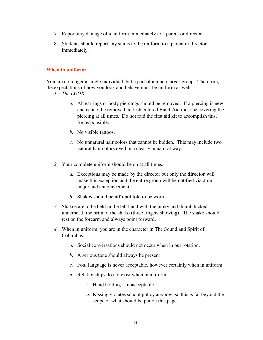- 7. Report any damage of a uniform immediately to a parent or director.
- 8. Students should report any stains to the uniform to a parent or director immediately.

# **When in uniform:**

You are no longer a single individual, but a part of a much larger group. Therefore, the expectations of how you look and behave must be uniform as well.

- *1. The LOOK* 
	- *a.* All earrings or body piercings should be removed. If a piercing is new and cannot be removed, a flesh colored Band-Aid must be covering the piercing at all times. Do not raid the first aid kit to accomplish this. Be responsible.
	- *b.* No visible tattoos.
	- *c.* No unnatural hair colors that cannot be hidden. This may include two natural hair colors dyed in a clearly unnatural way.
- *2.* Your complete uniform should be on at all times.
	- *a.* Exceptions may be made by the director but only the **director** will make this exception and the entire group will be notified via drum major and announcement.
	- *b.* Shakos should be **off** until told to be worn.
- *3.* Shakos are to be held in the left hand with the pinky and thumb tucked underneath the brim of the shako (three fingers showing). The shako should rest on the forearm and always point forward.
- *4.* When in uniform, you are in the character in The Sound and Spirit of Columbus
	- *a.* Social conversations should not occur when in our rotation.
	- *b.* A serious tone should always be present
	- *c.* Foul language is never acceptable, however certainly when in uniform.
	- *d.* Relationships do not exist when in uniform
		- *i.* Hand holding is unacceptable
		- *ii.* Kissing violates school policy anyhow, so this is far beyond the scope of what should be put on this page.